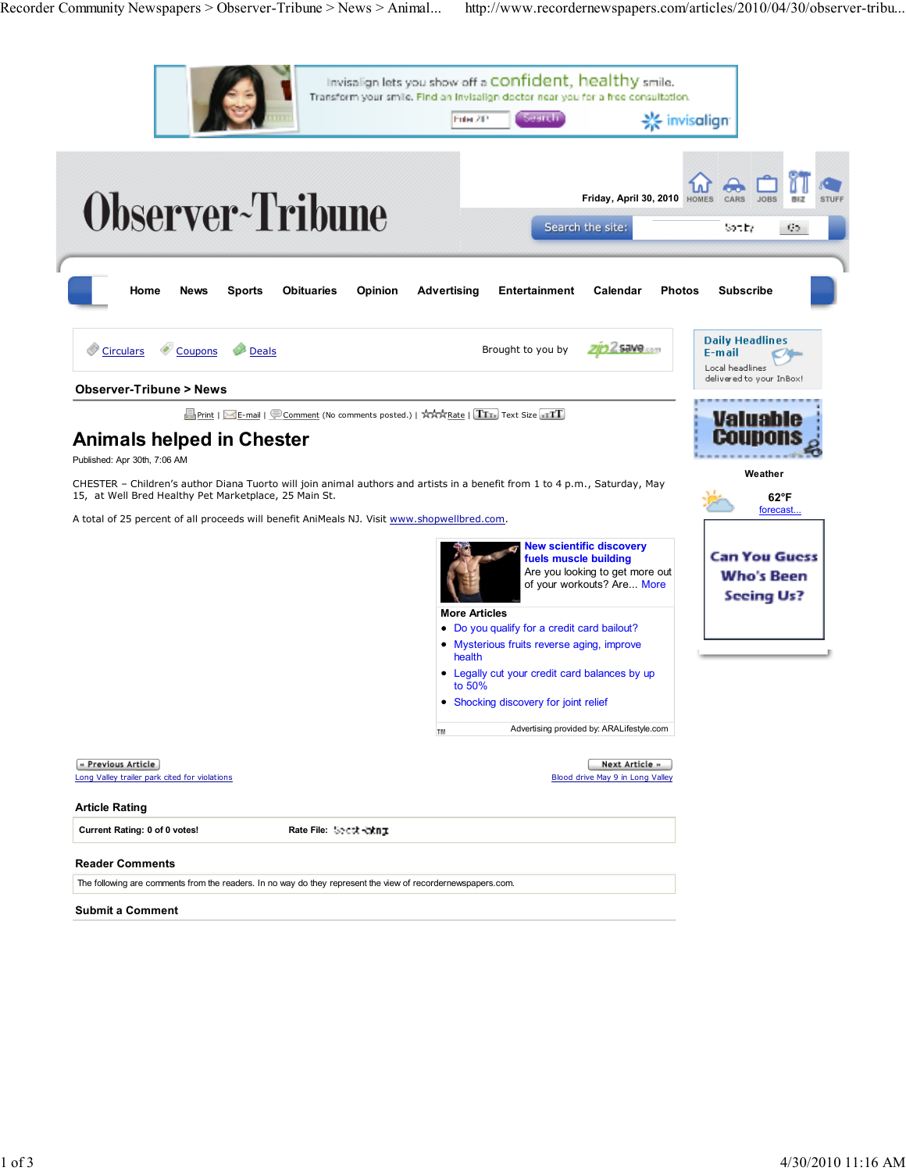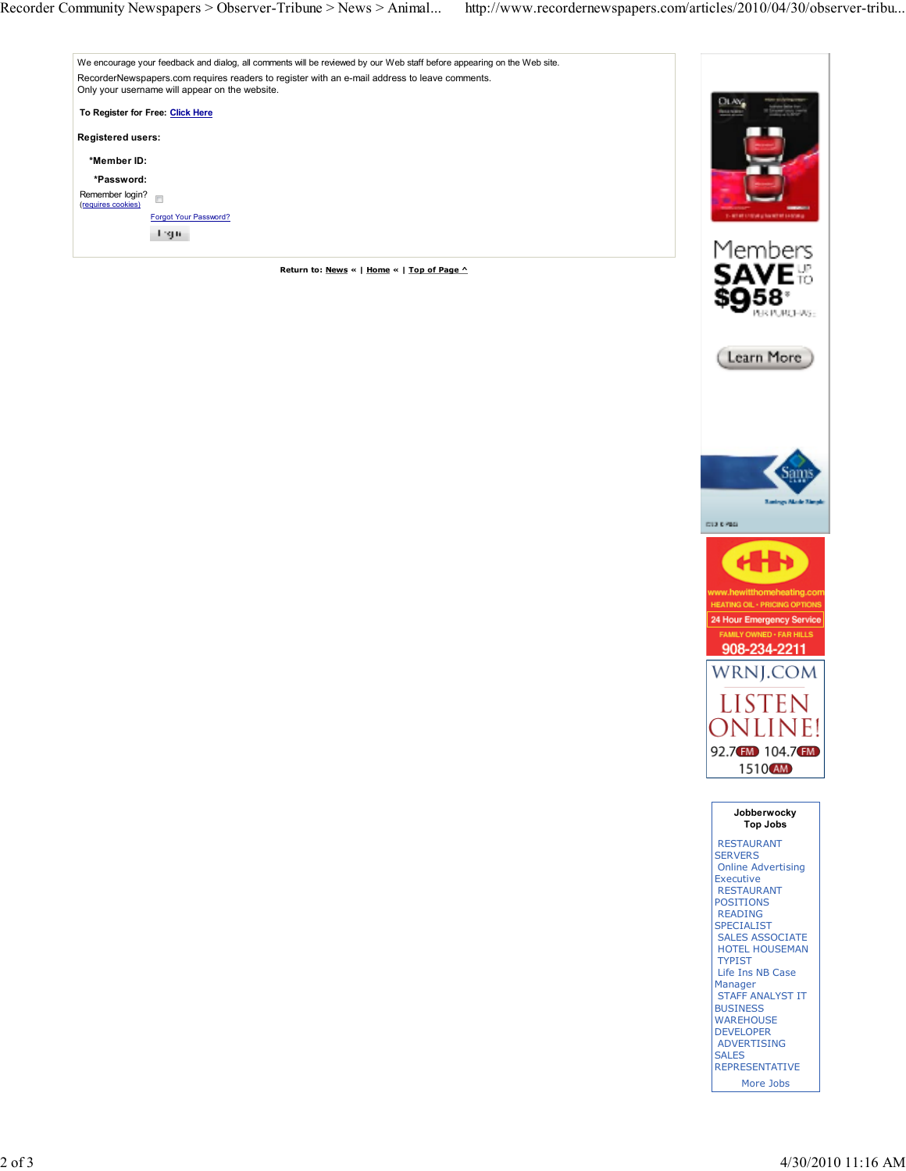



AR PURCHAS:



RESTAURANT **SERVERS** Online Advertising Executive RESTAURANT **POSITIONS** READING **SPECIALIST** SALES ASSOCIATE HOTEL HOUSEMAN TYPIST Life Ins NB Case Manager STAFF ANALYST IT **BUSINESS WAREHOUSE** DEVELOPER ADVERTISING SALES **REPRESENTATIVE** More Jobs